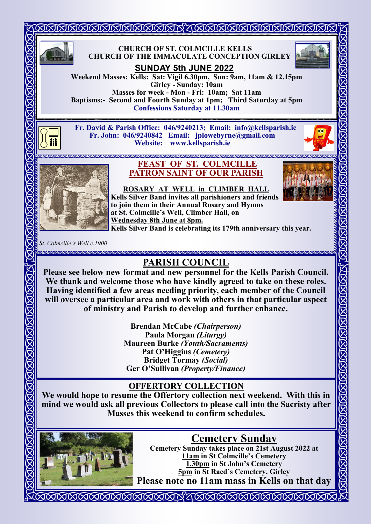